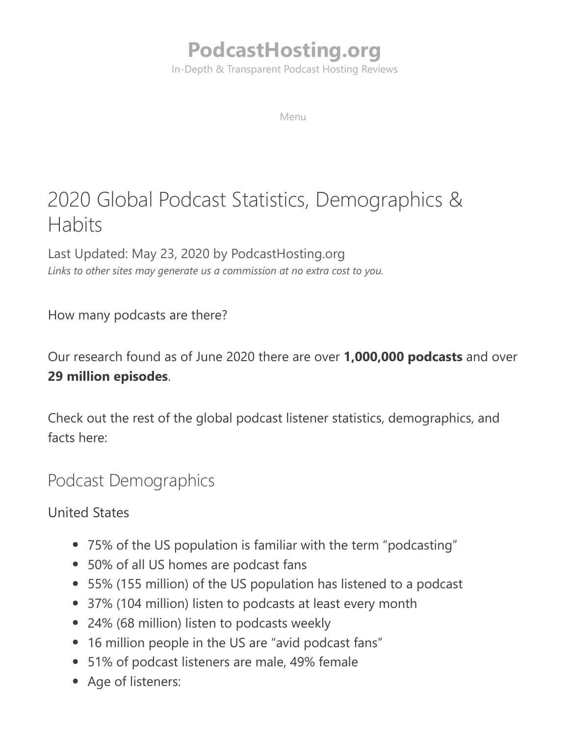# **[PodcastHosting.org](https://podcasthosting.org/)**

In-Depth & Transparent Podcast Hosting Reviews

Menu

# 2020 Global Podcast Statistics, Demographics & **Habits**

Last Updated: May 23, 2020 by PodcastHosting.org *Links to other sites may generate us a commission at no extra cost to you.*

How many podcasts are there?

Our research found as of June 2020 there are over **1,000,000 podcasts** and over **29 million episodes**.

Check out the rest of the global podcast listener statistics, demographics, and facts here:

## Podcast Demographics

United States

- 75% of the US population is familiar with the term "podcasting"
- 50% of all US homes are podcast fans
- 55% (155 million) of the US population has listened to a podcast
- 37% (104 million) listen to podcasts at least every month
- 24% (68 million) listen to podcasts weekly
- 16 million people in the US are "avid podcast fans"
- 51% of podcast listeners are male, 49% female
- Age of listeners: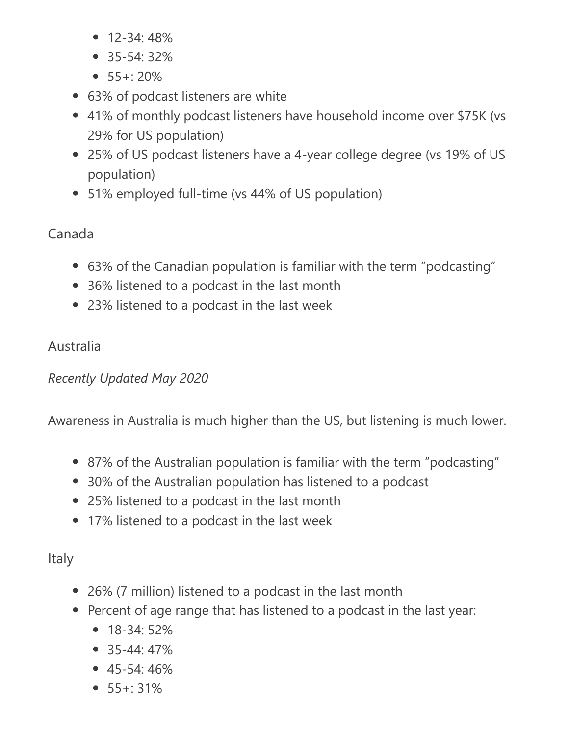- 12-34: 48%
- 35-54: 32%
- $55 + 20\%$
- 63% of podcast listeners are white
- 41% of monthly podcast listeners have household income over \$75K (vs 29% for US population)
- 25% of US podcast listeners have a 4-year college degree (vs 19% of US population)
- 51% employed full-time (vs 44% of US population)

### Canada

- 63% of the Canadian population is familiar with the term "podcasting"
- 36% listened to a podcast in the last month
- 23% listened to a podcast in the last week

### Australia

### *Recently Updated May 2020*

Awareness in Australia is much higher than the US, but listening is much lower.

- 87% of the Australian population is familiar with the term "podcasting"
- 30% of the Australian population has listened to a podcast
- 25% listened to a podcast in the last month
- 17% listened to a podcast in the last week

## Italy

- 26% (7 million) listened to a podcast in the last month
- Percent of age range that has listened to a podcast in the last year:
	- 18-34: 52%
	- 35-44: 47%
	- $\bullet$  45-54: 46%
	- $55 + 31\%$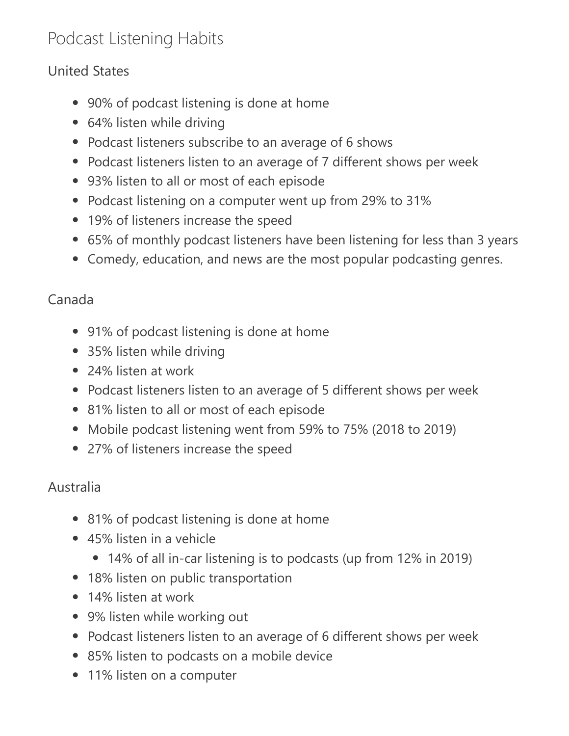# Podcast Listening Habits

#### United States

- 90% of podcast listening is done at home
- 64% listen while driving
- Podcast listeners subscribe to an average of 6 shows
- Podcast listeners listen to an average of 7 different shows per week
- 93% listen to all or most of each episode
- Podcast listening on a computer went up from 29% to 31%
- 19% of listeners increase the speed
- 65% of monthly podcast listeners have been listening for less than 3 years
- Comedy, education, and news are the most popular podcasting genres.

#### Canada

- 91% of podcast listening is done at home
- 35% listen while driving
- 24% listen at work
- Podcast listeners listen to an average of 5 different shows per week
- 81% listen to all or most of each episode
- Mobile podcast listening went from 59% to 75% (2018 to 2019)
- 27% of listeners increase the speed

#### Australia

- 81% of podcast listening is done at home
- 45% listen in a vehicle
	- 14% of all in-car listening is to podcasts (up from 12% in 2019)
- 18% listen on public transportation
- 14% listen at work
- 9% listen while working out
- Podcast listeners listen to an average of 6 different shows per week
- 85% listen to podcasts on a mobile device
- 11% listen on a computer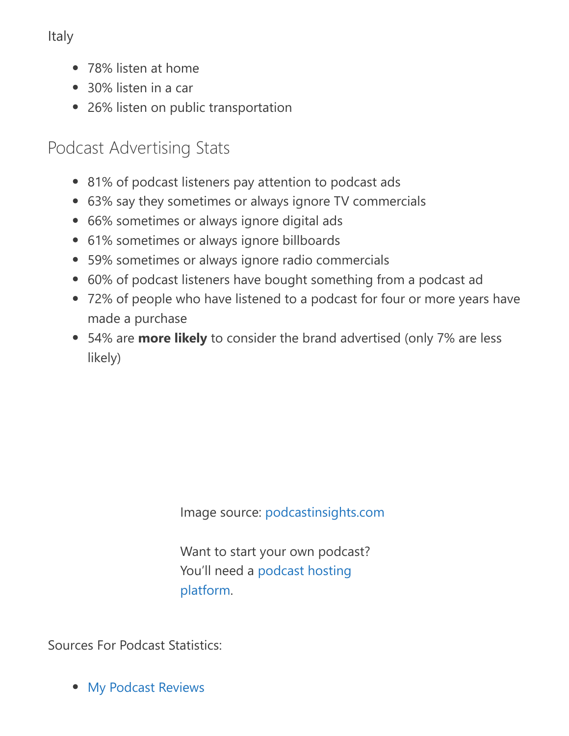Italy

- 78% listen at home
- 30% listen in a car
- 26% listen on public transportation

## Podcast Advertising Stats

- 81% of podcast listeners pay attention to podcast ads
- 63% say they sometimes or always ignore TV commercials
- 66% sometimes or always ignore digital ads
- 61% sometimes or always ignore billboards
- 59% sometimes or always ignore radio commercials
- 60% of podcast listeners have bought something from a podcast ad
- 72% of people who have listened to a podcast for four or more years have made a purchase
- 54% are **more likely** to consider the brand advertised (only 7% are less likely)

Image source: [podcastinsights.com](https://www.podcastinsights.com/podcast-statistics/)

Want to start your own podcast? [You'll need a podcast hosting](https://podcasthosting.org/) platform.

Sources For Podcast Statistics:

• [My Podcast Reviews](https://mypodcastreviews.com/podcast-industry-statistics/)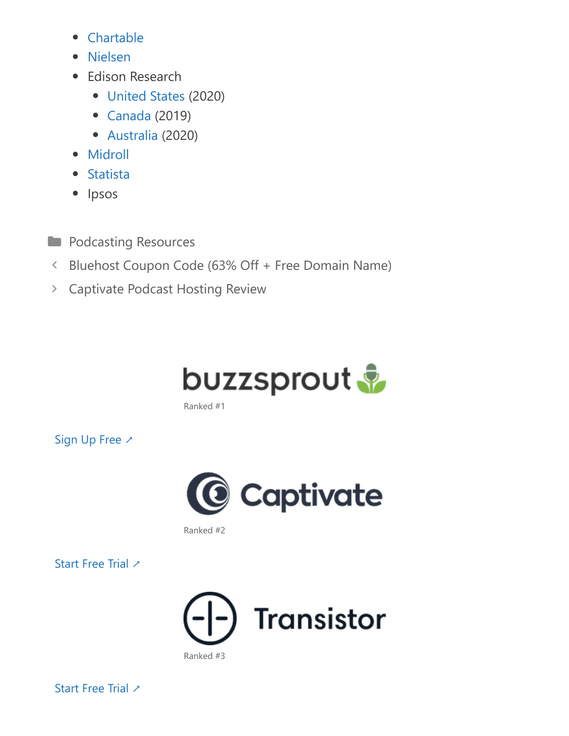- [Chartable](https://chartable.com/)
- [Nielsen](http://www.nielsen.com/content/dam/corporate/us/en/reports-downloads/2018-reports/marketeres-guide-to-podcasting-march-2018.pdf)
- Edison Research
	- [United States](https://www.edisonresearch.com/the-infinite-dial-2020/) (2020)
	- [Canada](https://www.edisonresearch.com/the-infinite-dial-canada-2019/) (2019)
	- [Australia](http://www.edisonresearch.com/wp-content/uploads/2020/05/The-Infinite-Dial-2020-Australia.pdf) (2020)
- [Midroll](https://awesome.midroll.com/)
- [Statista](https://www.statista.com/statistics/1088083/podcasts-users-by-age-italy/)
- Ipsos
- **[Podcasting Resources](https://podcasthosting.org/resources/)**
- [Bluehost Coupon Code \(63% Off + Free Domain Name\)](https://podcasthosting.org/bluehost-coupon/)
- [Captivate Podcast Hosting Review](https://podcasthosting.org/captivate-review/)



Ranked #1

[Sign Up Free ↗](https://podcasthosting.org/buzzsprout/) 



Ranked #2

[Start Free Trial ↗](https://podcasthosting.org/captivate/)



[Start Free Trial ↗](https://podcasthosting.org/transistor/)